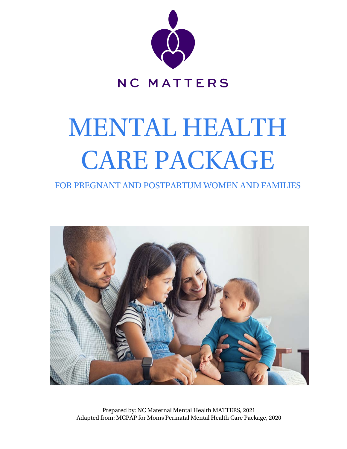

# MENTAL HEALTH CARE PACKAGE

FOR PREGNANT AND POSTPARTUM WOMEN AND FAMILIES



Prepared by: NC Maternal Mental Health MATTERS, 2021 Adapted from: MCPAP for Moms Perinatal Mental Health Care Package, 2020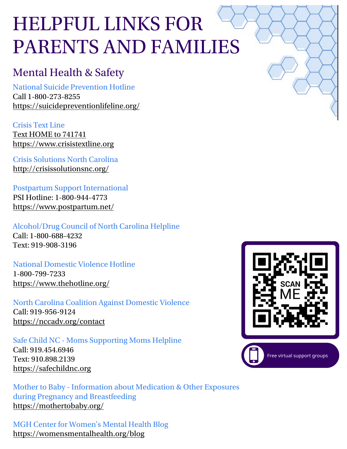# HELPFUL LINKS FOR PARENTS AND FAMILIES

# [Mental Health & Safety](https://suicidepreventionlifeline.org/)

National Suicide Prevention Hotline

Call 1-800-273-8255 ht[tps://suicideprevent](https://suicidepreventionlifeline.org/)ionlifeline.org/

Crisis Text Line Text HOME to 741741 https://www.crisistextline.org

Crisis Solutions North Carolina [http://crisissolutionsnc.org](https://www.postpartum.net/)/

Postpartum Support International PSI Hotline: 1-800-944-4773 https://www.postpartum.net/

Alcohol/Drug Council of North Carolina Helpline Call: 1-800-688-4232 Text: 919-908-3196

#### National Domestic Violence Hotline

1-800-799-7233 https://www.thehotline.org/

North Carolina Coalition Against Domestic Violence Call: 919-956-9124 https://nccadv.org/contact

Safe Child NC - Moms Supporting Moms Helpline Call: 919.454.6946 Text: 910.898.2139 [https://safechildnc.org](https://safechildnc.org/welcome-baby-msm/)

Mother to Baby - Information about Medication & Other Exposures during Pregnancy and Breastfeeding https://mothertobaby.org/

[MGH Center for Women's Mental Health Blog](https://mothertobaby.org/) https://womensmentalhealth.org/blog

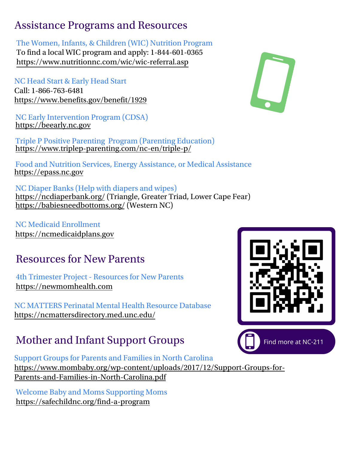### Assistance Programs and Resources

#### The Women, Infants, & Children (WIC) Nutrition Program

To find a local WIC program and apply: 1-844-601-0365 [https://www.nutritionnc.com/](https://www.nutritionnc.com/wic/wic-referral.asp)wic/wic-referral.asp

NC Head Start & Early Head Start Call: 1-866-763-6481 https://www.benefits.gov/benefit/1929

NC Early Intervention Program (CDSA) https://beearly.nc.gov

Triple P Positive Parenting Program (Parenting Education) https://www.triplep-parenting.com/nc-en/triple-p/

Food and Nutrition Services, Energy Assistance, or Medical Assistance https://epass.nc.gov

NC Diaper Banks (Help with diapers and wipes) [https:/](https://www.mindful.org/a-five-minute-breathing-meditation/)/ncdiaperbank.org/ (Triangle, Greater Triad, Lower Cape Fear) https://babiesneedbottoms.org/ (Western NC)

NC Medicaid Enrollment https://ncmedicaidplans.gov

# Resources for New Parents

4th Trimester Project - Resources for New Parents https://newmomhealth.com

NC [MATTERS Perinatal Menta](https://www.youtube.com/watch?v=zPgwQFU1Cwc)l Health Resource Database https://ncmattersdirectory.med.unc.edu/

# Mother and Infant Support Groups

Support Groups for Parents and Families in North Carolina https://www.mombaby.org/wp-content/uploads/2017/12/Support-Groups-for-Parents-and-Families-in-North-Carolina.pdf

[Welcome Baby and Moms Supp](https://www.stress.org/15-stress-reducing-activities-you-can-do-at-home-according-to-experts)orting Moms https://safechildnc.org/find-a-program